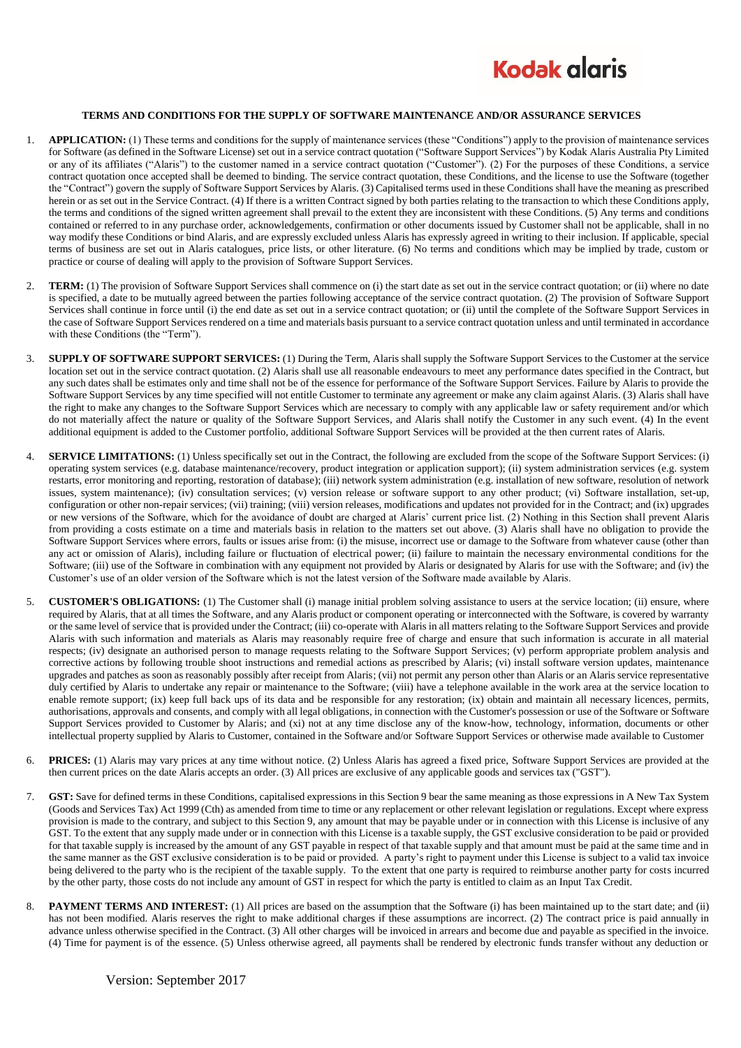

## **TERMS AND CONDITIONS FOR THE SUPPLY OF SOFTWARE MAINTENANCE AND/OR ASSURANCE SERVICES**

- 1. **APPLICATION:** (1) These terms and conditions for the supply of maintenance services (these "Conditions") apply to the provision of maintenance services for Software (as defined in the Software License) set out in a service contract quotation ("Software Support Services") by Kodak Alaris Australia Pty Limited or any of its affiliates ("Alaris") to the customer named in a service contract quotation ("Customer"). (2) For the purposes of these Conditions, a service contract quotation once accepted shall be deemed to binding. The service contract quotation, these Conditions, and the license to use the Software (together the "Contract") govern the supply of Software Support Services by Alaris. (3) Capitalised terms used in these Conditions shall have the meaning as prescribed herein or as set out in the Service Contract. (4) If there is a written Contract signed by both parties relating to the transaction to which these Conditions apply, the terms and conditions of the signed written agreement shall prevail to the extent they are inconsistent with these Conditions. (5) Any terms and conditions contained or referred to in any purchase order, acknowledgements, confirmation or other documents issued by Customer shall not be applicable, shall in no way modify these Conditions or bind Alaris, and are expressly excluded unless Alaris has expressly agreed in writing to their inclusion. If applicable, special terms of business are set out in Alaris catalogues, price lists, or other literature. (6) No terms and conditions which may be implied by trade, custom or practice or course of dealing will apply to the provision of Software Support Services.
- 2. **TERM:** (1) The provision of Software Support Services shall commence on (i) the start date as set out in the service contract quotation; or (ii) where no date is specified, a date to be mutually agreed between the parties following acceptance of the service contract quotation. (2) The provision of Software Support Services shall continue in force until (i) the end date as set out in a service contract quotation; or (ii) until the complete of the Software Support Services in the case of Software Support Services rendered on a time and materials basis pursuant to a service contract quotation unless and until terminated in accordance with these Conditions (the "Term").
- 3. **SUPPLY OF SOFTWARE SUPPORT SERVICES:** (1) During the Term, Alaris shall supply the Software Support Services to the Customer at the service location set out in the service contract quotation. (2) Alaris shall use all reasonable endeavours to meet any performance dates specified in the Contract, but any such dates shall be estimates only and time shall not be of the essence for performance of the Software Support Services. Failure by Alaris to provide the Software Support Services by any time specified will not entitle Customer to terminate any agreement or make any claim against Alaris. (3) Alaris shall have the right to make any changes to the Software Support Services which are necessary to comply with any applicable law or safety requirement and/or which do not materially affect the nature or quality of the Software Support Services, and Alaris shall notify the Customer in any such event. (4) In the event additional equipment is added to the Customer portfolio, additional Software Support Services will be provided at the then current rates of Alaris.
- 4. **SERVICE LIMITATIONS:** (1) Unless specifically set out in the Contract, the following are excluded from the scope of the Software Support Services: (i) operating system services (e.g. database maintenance/recovery, product integration or application support); (ii) system administration services (e.g. system restarts, error monitoring and reporting, restoration of database); (iii) network system administration (e.g. installation of new software, resolution of network issues, system maintenance); (iv) consultation services; (v) version release or software support to any other product; (vi) Software installation, set-up, configuration or other non-repair services; (vii) training; (viii) version releases, modifications and updates not provided for in the Contract; and (ix) upgrades or new versions of the Software, which for the avoidance of doubt are charged at Alaris' current price list. (2) Nothing in this Section shall prevent Alaris from providing a costs estimate on a time and materials basis in relation to the matters set out above. (3) Alaris shall have no obligation to provide the Software Support Services where errors, faults or issues arise from: (i) the misuse, incorrect use or damage to the Software from whatever cause (other than any act or omission of Alaris), including failure or fluctuation of electrical power; (ii) failure to maintain the necessary environmental conditions for the Software; (iii) use of the Software in combination with any equipment not provided by Alaris or designated by Alaris for use with the Software; and (iv) the Customer's use of an older version of the Software which is not the latest version of the Software made available by Alaris.
- 5. **CUSTOMER'S OBLIGATIONS:** (1) The Customer shall (i) manage initial problem solving assistance to users at the service location; (ii) ensure, where required by Alaris, that at all times the Software, and any Alaris product or component operating or interconnected with the Software, is covered by warranty or the same level of service that is provided under the Contract; (iii) co-operate with Alaris in all matters relating to the Software Support Services and provide Alaris with such information and materials as Alaris may reasonably require free of charge and ensure that such information is accurate in all material respects; (iv) designate an authorised person to manage requests relating to the Software Support Services; (v) perform appropriate problem analysis and corrective actions by following trouble shoot instructions and remedial actions as prescribed by Alaris; (vi) install software version updates, maintenance upgrades and patches as soon as reasonably possibly after receipt from Alaris; (vii) not permit any person other than Alaris or an Alaris service representative duly certified by Alaris to undertake any repair or maintenance to the Software; (viii) have a telephone available in the work area at the service location to enable remote support; (ix) keep full back ups of its data and be responsible for any restoration; (ix) obtain and maintain all necessary licences, permits, authorisations, approvals and consents, and comply with all legal obligations, in connection with the Customer's possession or use of the Software or Software Support Services provided to Customer by Alaris; and (xi) not at any time disclose any of the know-how, technology, information, documents or other intellectual property supplied by Alaris to Customer, contained in the Software and/or Software Support Services or otherwise made available to Customer
- 6. **PRICES:** (1) Alaris may vary prices at any time without notice. (2) Unless Alaris has agreed a fixed price, Software Support Services are provided at the then current prices on the date Alaris accepts an order. (3) All prices are exclusive of any applicable goods and services tax ("GST").
- 7. **GST:** Save for defined terms in these Conditions, capitalised expressions in this Section 9 bear the same meaning as those expressions in A New Tax System (Goods and Services Tax) Act 1999 (Cth) as amended from time to time or any replacement or other relevant legislation or regulations. Except where express provision is made to the contrary, and subject to this Section 9, any amount that may be payable under or in connection with this License is inclusive of any GST. To the extent that any supply made under or in connection with this License is a taxable supply, the GST exclusive consideration to be paid or provided for that taxable supply is increased by the amount of any GST payable in respect of that taxable supply and that amount must be paid at the same time and in the same manner as the GST exclusive consideration is to be paid or provided. A party's right to payment under this License is subject to a valid tax invoice being delivered to the party who is the recipient of the taxable supply. To the extent that one party is required to reimburse another party for costs incurred by the other party, those costs do not include any amount of GST in respect for which the party is entitled to claim as an Input Tax Credit.
- **PAYMENT TERMS AND INTEREST:** (1) All prices are based on the assumption that the Software (i) has been maintained up to the start date; and (ii) has not been modified. Alaris reserves the right to make additional charges if these assumptions are incorrect. (2) The contract price is paid annually in advance unless otherwise specified in the Contract. (3) All other charges will be invoiced in arrears and become due and payable as specified in the invoice. (4) Time for payment is of the essence. (5) Unless otherwise agreed, all payments shall be rendered by electronic funds transfer without any deduction or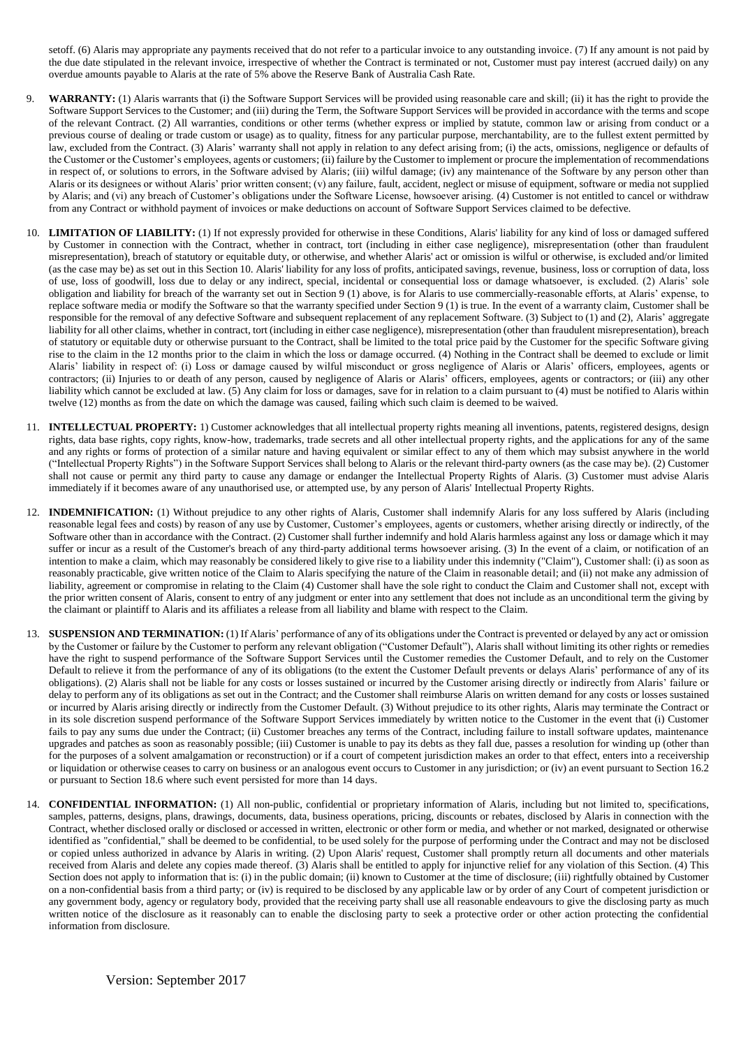setoff. (6) Alaris may appropriate any payments received that do not refer to a particular invoice to any outstanding invoice. (7) If any amount is not paid by the due date stipulated in the relevant invoice, irrespective of whether the Contract is terminated or not, Customer must pay interest (accrued daily) on any overdue amounts payable to Alaris at the rate of 5% above the Reserve Bank of Australia Cash Rate.

- 9. **WARRANTY:** (1) Alaris warrants that (i) the Software Support Services will be provided using reasonable care and skill; (ii) it has the right to provide the Software Support Services to the Customer; and (iii) during the Term, the Software Support Services will be provided in accordance with the terms and scope of the relevant Contract. (2) All warranties, conditions or other terms (whether express or implied by statute, common law or arising from conduct or a previous course of dealing or trade custom or usage) as to quality, fitness for any particular purpose, merchantability, are to the fullest extent permitted by law, excluded from the Contract. (3) Alaris' warranty shall not apply in relation to any defect arising from; (i) the acts, omissions, negligence or defaults of the Customer or the Customer's employees, agents or customers; (ii) failure by the Customer to implement or procure the implementation of recommendations in respect of, or solutions to errors, in the Software advised by Alaris; (iii) wilful damage; (iv) any maintenance of the Software by any person other than Alaris or its designees or without Alaris' prior written consent; (v) any failure, fault, accident, neglect or misuse of equipment, software or media not supplied by Alaris; and (vi) any breach of Customer's obligations under the Software License, howsoever arising. (4) Customer is not entitled to cancel or withdraw from any Contract or withhold payment of invoices or make deductions on account of Software Support Services claimed to be defective.
- 10. **LIMITATION OF LIABILITY:** (1) If not expressly provided for otherwise in these Conditions, Alaris' liability for any kind of loss or damaged suffered by Customer in connection with the Contract, whether in contract, tort (including in either case negligence), misrepresentation (other than fraudulent misrepresentation), breach of statutory or equitable duty, or otherwise, and whether Alaris' act or omission is wilful or otherwise, is excluded and/or limited (as the case may be) as set out in this Section 10. Alaris' liability for any loss of profits, anticipated savings, revenue, business, loss or corruption of data, loss of use, loss of goodwill, loss due to delay or any indirect, special, incidental or consequential loss or damage whatsoever, is excluded. (2) Alaris' sole obligation and liability for breach of the warranty set out in Section 9 (1) above, is for Alaris to use commercially-reasonable efforts, at Alaris' expense, to replace software media or modify the Software so that the warranty specified under Section 9 (1) is true. In the event of a warranty claim, Customer shall be responsible for the removal of any defective Software and subsequent replacement of any replacement Software. (3) Subject to (1) and (2), Alaris' aggregate liability for all other claims, whether in contract, tort (including in either case negligence), misrepresentation (other than fraudulent misrepresentation), breach of statutory or equitable duty or otherwise pursuant to the Contract, shall be limited to the total price paid by the Customer for the specific Software giving rise to the claim in the 12 months prior to the claim in which the loss or damage occurred. (4) Nothing in the Contract shall be deemed to exclude or limit Alaris' liability in respect of: (i) Loss or damage caused by wilful misconduct or gross negligence of Alaris or Alaris' officers, employees, agents or contractors; (ii) Injuries to or death of any person, caused by negligence of Alaris or Alaris' officers, employees, agents or contractors; or (iii) any other liability which cannot be excluded at law. (5) Any claim for loss or damages, save for in relation to a claim pursuant to (4) must be notified to Alaris within twelve (12) months as from the date on which the damage was caused, failing which such claim is deemed to be waived.
- 11. **INTELLECTUAL PROPERTY:** 1) Customer acknowledges that all intellectual property rights meaning all inventions, patents, registered designs, design rights, data base rights, copy rights, know-how, trademarks, trade secrets and all other intellectual property rights, and the applications for any of the same and any rights or forms of protection of a similar nature and having equivalent or similar effect to any of them which may subsist anywhere in the world ("Intellectual Property Rights") in the Software Support Services shall belong to Alaris or the relevant third-party owners (as the case may be). (2) Customer shall not cause or permit any third party to cause any damage or endanger the Intellectual Property Rights of Alaris. (3) Customer must advise Alaris immediately if it becomes aware of any unauthorised use, or attempted use, by any person of Alaris' Intellectual Property Rights.
- 12. **INDEMNIFICATION:** (1) Without prejudice to any other rights of Alaris, Customer shall indemnify Alaris for any loss suffered by Alaris (including reasonable legal fees and costs) by reason of any use by Customer, Customer's employees, agents or customers, whether arising directly or indirectly, of the Software other than in accordance with the Contract. (2) Customer shall further indemnify and hold Alaris harmless against any loss or damage which it may suffer or incur as a result of the Customer's breach of any third-party additional terms howsoever arising. (3) In the event of a claim, or notification of an intention to make a claim, which may reasonably be considered likely to give rise to a liability under this indemnity ("Claim"), Customer shall: (i) as soon as reasonably practicable, give written notice of the Claim to Alaris specifying the nature of the Claim in reasonable detail; and (ii) not make any admission of liability, agreement or compromise in relating to the Claim (4) Customer shall have the sole right to conduct the Claim and Customer shall not, except with the prior written consent of Alaris, consent to entry of any judgment or enter into any settlement that does not include as an unconditional term the giving by the claimant or plaintiff to Alaris and its affiliates a release from all liability and blame with respect to the Claim.
- 13. **SUSPENSION AND TERMINATION:** (1) If Alaris' performance of any of its obligations under the Contract is prevented or delayed by any act or omission by the Customer or failure by the Customer to perform any relevant obligation ("Customer Default"), Alaris shall without limiting its other rights or remedies have the right to suspend performance of the Software Support Services until the Customer remedies the Customer Default, and to rely on the Customer Default to relieve it from the performance of any of its obligations (to the extent the Customer Default prevents or delays Alaris' performance of any of its obligations). (2) Alaris shall not be liable for any costs or losses sustained or incurred by the Customer arising directly or indirectly from Alaris' failure or delay to perform any of its obligations as set out in the Contract; and the Customer shall reimburse Alaris on written demand for any costs or losses sustained or incurred by Alaris arising directly or indirectly from the Customer Default. (3) Without prejudice to its other rights, Alaris may terminate the Contract or in its sole discretion suspend performance of the Software Support Services immediately by written notice to the Customer in the event that (i) Customer fails to pay any sums due under the Contract; (ii) Customer breaches any terms of the Contract, including failure to install software updates, maintenance upgrades and patches as soon as reasonably possible; (iii) Customer is unable to pay its debts as they fall due, passes a resolution for winding up (other than for the purposes of a solvent amalgamation or reconstruction) or if a court of competent jurisdiction makes an order to that effect, enters into a receivership or liquidation or otherwise ceases to carry on business or an analogous event occurs to Customer in any jurisdiction; or (iv) an event pursuant to Section 16.2 or pursuant to Section 18.6 where such event persisted for more than 14 days.
- 14. **CONFIDENTIAL INFORMATION:** (1) All non-public, confidential or proprietary information of Alaris, including but not limited to, specifications, samples, patterns, designs, plans, drawings, documents, data, business operations, pricing, discounts or rebates, disclosed by Alaris in connection with the Contract, whether disclosed orally or disclosed or accessed in written, electronic or other form or media, and whether or not marked, designated or otherwise identified as "confidential," shall be deemed to be confidential, to be used solely for the purpose of performing under the Contract and may not be disclosed or copied unless authorized in advance by Alaris in writing. (2) Upon Alaris' request, Customer shall promptly return all documents and other materials received from Alaris and delete any copies made thereof. (3) Alaris shall be entitled to apply for injunctive relief for any violation of this Section. (4) This Section does not apply to information that is: (i) in the public domain; (ii) known to Customer at the time of disclosure; (iii) rightfully obtained by Customer on a non-confidential basis from a third party; or (iv) is required to be disclosed by any applicable law or by order of any Court of competent jurisdiction or any government body, agency or regulatory body, provided that the receiving party shall use all reasonable endeavours to give the disclosing party as much written notice of the disclosure as it reasonably can to enable the disclosing party to seek a protective order or other action protecting the confidential information from disclosure.